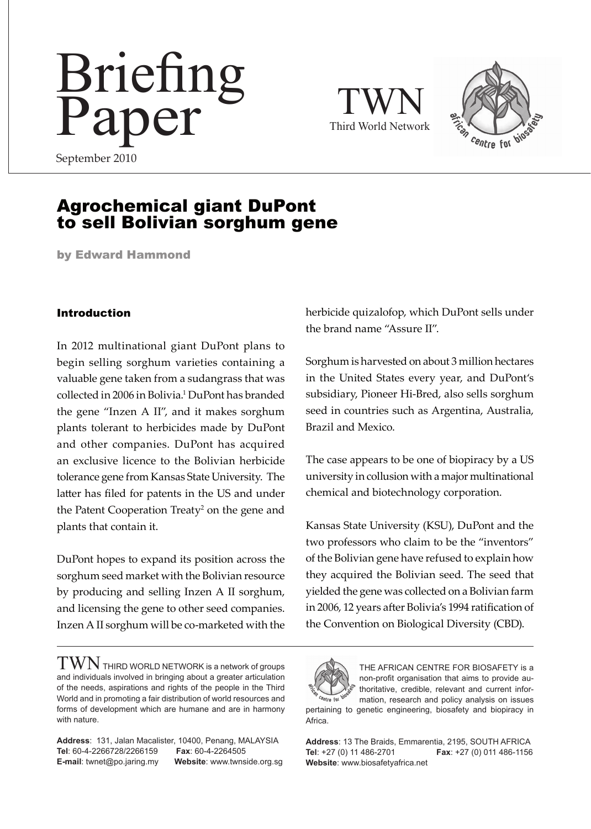# Briefing Paper

TWN Third World Network



September 2010

# Agrochemical giant DuPont to sell Bolivian sorghum gene

by Edward Hammond

#### Introduction

In 2012 multinational giant DuPont plans to begin selling sorghum varieties containing a valuable gene taken from a sudangrass that was collected in 2006 in Bolivia.<sup>1</sup> DuPont has branded the gene "Inzen A II", and it makes sorghum plants tolerant to herbicides made by DuPont and other companies. DuPont has acquired an exclusive licence to the Bolivian herbicide tolerance gene from Kansas State University. The latter has filed for patents in the US and under the Patent Cooperation Treaty<sup>2</sup> on the gene and plants that contain it.

DuPont hopes to expand its position across the sorghum seed market with the Bolivian resource by producing and selling Inzen A II sorghum, and licensing the gene to other seed companies. Inzen A II sorghum will be co-marketed with the

 $\text{TWM}$  THIRD WORLD NETWORK is a network of groups and individuals involved in bringing about a greater articulation of the needs, aspirations and rights of the people in the Third World and in promoting a fair distribution of world resources and forms of development which are humane and are in harmony with nature.

**Address**: 131, Jalan Macalister, 10400, Penang, MALAYSIA **Tel**: 60-4-2266728/2266159 **Fax**: 60-4-2264505 **E-mail**: twnet@po.jaring.my **website**: www.twnside.org.sg herbicide quizalofop, which DuPont sells under the brand name "Assure II".

Sorghum is harvested on about 3 million hectares in the United States every year, and DuPont's subsidiary, Pioneer Hi-Bred, also sells sorghum seed in countries such as Argentina, Australia, Brazil and Mexico.

The case appears to be one of biopiracy by a US university in collusion with a major multinational chemical and biotechnology corporation.

Kansas State University (KSU), DuPont and the two professors who claim to be the "inventors" of the Bolivian gene have refused to explain how they acquired the Bolivian seed. The seed that yielded the gene was collected on a Bolivian farm in 2006, 12 years after Bolivia's 1994 ratification of the Convention on Biological Diversity (CBD).



Africa.

THE AFRICAN CENTRE FOR BIOSAFETY is a non-profit organisation that aims to provide authoritative, credible, relevant and current information, research and policy analysis on issues pertaining to genetic engineering, biosafety and biopiracy in

**Address**: 13 The Braids, Emmarentia, 2195, SOUTH AFRICA **Tel**: +27 (0) 11 486-2701 **Fax**: +27 (0) 011 486-1156 **Website**: www.biosafetyafrica.net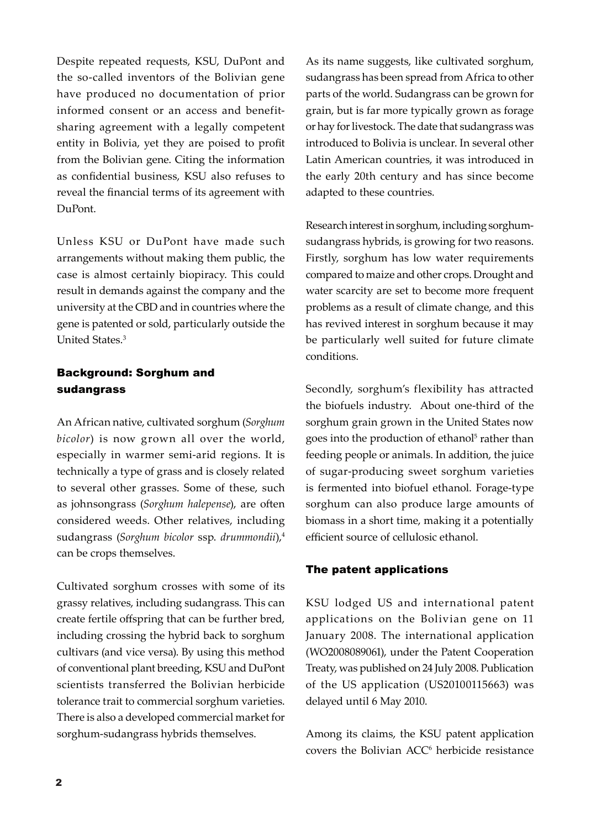Despite repeated requests, KSU, DuPont and the so-called inventors of the Bolivian gene have produced no documentation of prior informed consent or an access and benefitsharing agreement with a legally competent entity in Bolivia, yet they are poised to profit from the Bolivian gene. Citing the information as confidential business, KSU also refuses to reveal the financial terms of its agreement with DuPont.

Unless KSU or DuPont have made such arrangements without making them public, the case is almost certainly biopiracy. This could result in demands against the company and the university at the CBD and in countries where the gene is patented or sold, particularly outside the United States.3

#### Background: Sorghum and sudangrass

An African native, cultivated sorghum (*Sorghum bicolor*) is now grown all over the world, especially in warmer semi-arid regions. It is technically a type of grass and is closely related to several other grasses. Some of these, such as johnsongrass (*Sorghum halepense*), are often considered weeds. Other relatives, including sudangrass (*Sorghum bicolor* ssp. *drummondii*),<sup>4</sup> can be crops themselves.

Cultivated sorghum crosses with some of its grassy relatives, including sudangrass. This can create fertile offspring that can be further bred, including crossing the hybrid back to sorghum cultivars (and vice versa). By using this method of conventional plant breeding, KSU and DuPont scientists transferred the Bolivian herbicide tolerance trait to commercial sorghum varieties. There is also a developed commercial market for sorghum-sudangrass hybrids themselves.

As its name suggests, like cultivated sorghum, sudangrass has been spread from Africa to other parts of the world. Sudangrass can be grown for grain, but is far more typically grown as forage or hay for livestock. The date that sudangrass was introduced to Bolivia is unclear. In several other Latin American countries, it was introduced in the early 20th century and has since become adapted to these countries.

Research interest in sorghum, including sorghumsudangrass hybrids, is growing for two reasons. Firstly, sorghum has low water requirements compared to maize and other crops. Drought and water scarcity are set to become more frequent problems as a result of climate change, and this has revived interest in sorghum because it may be particularly well suited for future climate conditions.

Secondly, sorghum's flexibility has attracted the biofuels industry. About one-third of the sorghum grain grown in the United States now goes into the production of ethanol<sup>5</sup> rather than feeding people or animals. In addition, the juice of sugar-producing sweet sorghum varieties is fermented into biofuel ethanol. Forage-type sorghum can also produce large amounts of biomass in a short time, making it a potentially efficient source of cellulosic ethanol.

#### The patent applications

KSU lodged US and international patent applications on the Bolivian gene on 11 January 2008. The international application (WO2008089061), under the Patent Cooperation Treaty, was published on 24 July 2008. Publication of the US application (US20100115663) was delayed until 6 May 2010.

Among its claims, the KSU patent application covers the Bolivian ACC<sup>6</sup> herbicide resistance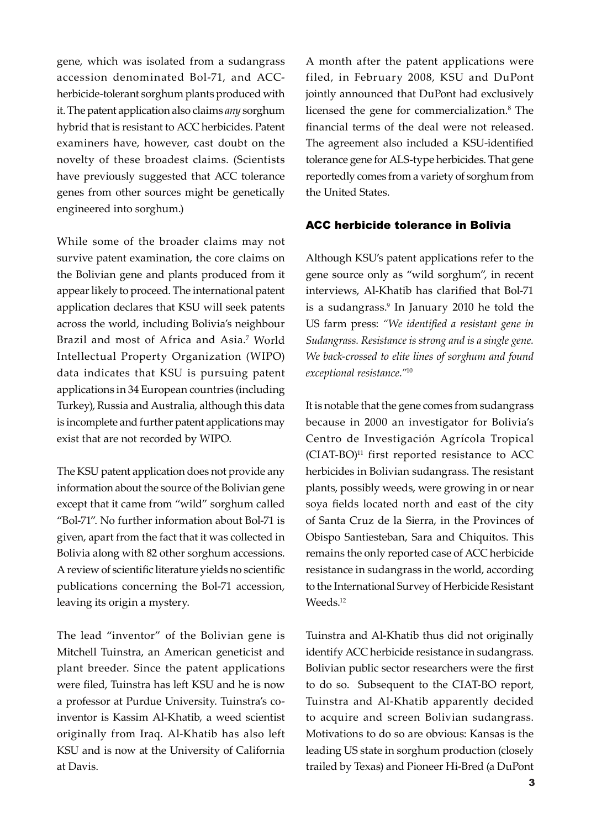gene, which was isolated from a sudangrass accession denominated Bol-71, and ACCherbicide-tolerant sorghum plants produced with it. The patent application also claims *any* sorghum hybrid that is resistant to ACC herbicides. Patent examiners have, however, cast doubt on the novelty of these broadest claims. (Scientists have previously suggested that ACC tolerance genes from other sources might be genetically engineered into sorghum.)

While some of the broader claims may not survive patent examination, the core claims on the Bolivian gene and plants produced from it appear likely to proceed. The international patent application declares that KSU will seek patents across the world, including Bolivia's neighbour Brazil and most of Africa and Asia.<sup>7</sup> World Intellectual Property Organization (WIPO) data indicates that KSU is pursuing patent applications in 34 European countries (including Turkey), Russia and Australia, although this data is incomplete and further patent applications may exist that are not recorded by WIPO.

The KSU patent application does not provide any information about the source of the Bolivian gene except that it came from "wild" sorghum called "Bol-71". No further information about Bol-71 is given, apart from the fact that it was collected in Bolivia along with 82 other sorghum accessions. A review of scientific literature yields no scientific publications concerning the Bol-71 accession, leaving its origin a mystery.

The lead "inventor" of the Bolivian gene is Mitchell Tuinstra, an American geneticist and plant breeder. Since the patent applications were filed, Tuinstra has left KSU and he is now a professor at Purdue University. Tuinstra's coinventor is Kassim Al-Khatib, a weed scientist originally from Iraq. Al-Khatib has also left KSU and is now at the University of California at Davis.

A month after the patent applications were filed, in February 2008, KSU and DuPont jointly announced that DuPont had exclusively licensed the gene for commercialization.<sup>8</sup> The financial terms of the deal were not released. The agreement also included a KSU-identified tolerance gene for ALS-type herbicides. That gene reportedly comes from a variety of sorghum from the United States.

#### ACC herbicide tolerance in Bolivia

Although KSU's patent applications refer to the gene source only as "wild sorghum", in recent interviews, Al-Khatib has clarified that Bol-71 is a sudangrass.<sup>9</sup> In January 2010 he told the US farm press: *"We identified a resistant gene in Sudangrass. Resistance is strong and is a single gene. We back-crossed to elite lines of sorghum and found exceptional resistance."*<sup>10</sup>

It is notable that the gene comes from sudangrass because in 2000 an investigator for Bolivia's Centro de Investigación Agrícola Tropical  $(CIAT-BO)^{11}$  first reported resistance to ACC herbicides in Bolivian sudangrass. The resistant plants, possibly weeds, were growing in or near soya fields located north and east of the city of Santa Cruz de la Sierra, in the Provinces of Obispo Santiesteban, Sara and Chiquitos. This remains the only reported case of ACC herbicide resistance in sudangrass in the world, according to the International Survey of Herbicide Resistant Weeds.12

Tuinstra and Al-Khatib thus did not originally identify ACC herbicide resistance in sudangrass. Bolivian public sector researchers were the first to do so. Subsequent to the CIAT-BO report, Tuinstra and Al-Khatib apparently decided to acquire and screen Bolivian sudangrass. Motivations to do so are obvious: Kansas is the leading US state in sorghum production (closely trailed by Texas) and Pioneer Hi-Bred (a DuPont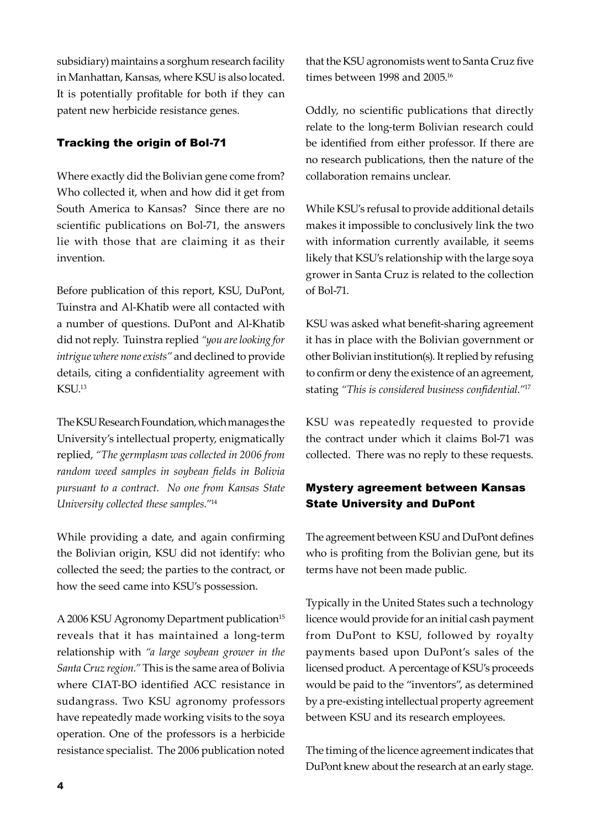subsidiary) maintains a sorghum research facility in Manhattan, Kansas, where KSU is also located. It is potentially profitable for both if they can patent new herbicide resistance genes.

#### Tracking the origin of Bol-71

Where exactly did the Bolivian gene come from? Who collected it, when and how did it get from South America to Kansas? Since there are no scientific publications on Bol-71, the answers lie with those that are claiming it as their invention.

Before publication of this report, KSU, DuPont, Tuinstra and Al-Khatib were all contacted with a number of questions. DuPont and Al-Khatib did not reply. Tuinstra replied *"you are looking for intrigue where none exists"* and declined to provide details, citing a confidentiality agreement with KSU.13

The KSU Research Foundation, which manages the University's intellectual property, enigmatically replied, *"The germplasm was collected in 2006 from random weed samples in soybean fields in Bolivia pursuant to a contract. No one from Kansas State University collected these samples."*<sup>14</sup>

While providing a date, and again confirming the Bolivian origin, KSU did not identify: who collected the seed; the parties to the contract, or how the seed came into KSU's possession.

A 2006 KSU Agronomy Department publication<sup>15</sup> reveals that it has maintained a long-term relationship with *"a large soybean grower in the Santa Cruz region."* This is the same area of Bolivia where CIAT-BO identified ACC resistance in sudangrass. Two KSU agronomy professors have repeatedly made working visits to the soya operation. One of the professors is a herbicide resistance specialist. The 2006 publication noted

that the KSU agronomists went to Santa Cruz five times between 1998 and 2005.<sup>16</sup>

Oddly, no scientific publications that directly relate to the long-term Bolivian research could be identified from either professor. If there are no research publications, then the nature of the collaboration remains unclear.

While KSU's refusal to provide additional details makes it impossible to conclusively link the two with information currently available, it seems likely that KSU's relationship with the large soya grower in Santa Cruz is related to the collection of Bol-71.

KSU was asked what benefit-sharing agreement it has in place with the Bolivian government or other Bolivian institution(s). It replied by refusing to confirm or deny the existence of an agreement, stating *"This is considered business confidential."*<sup>17</sup>

KSU was repeatedly requested to provide the contract under which it claims Bol-71 was collected. There was no reply to these requests.

## Mystery agreement between Kansas State University and DuPont

The agreement between KSU and DuPont defines who is profiting from the Bolivian gene, but its terms have not been made public.

Typically in the United States such a technology licence would provide for an initial cash payment from DuPont to KSU, followed by royalty payments based upon DuPont's sales of the licensed product. A percentage of KSU's proceeds would be paid to the "inventors", as determined by a pre-existing intellectual property agreement between KSU and its research employees.

The timing of the licence agreement indicates that DuPont knew about the research at an early stage.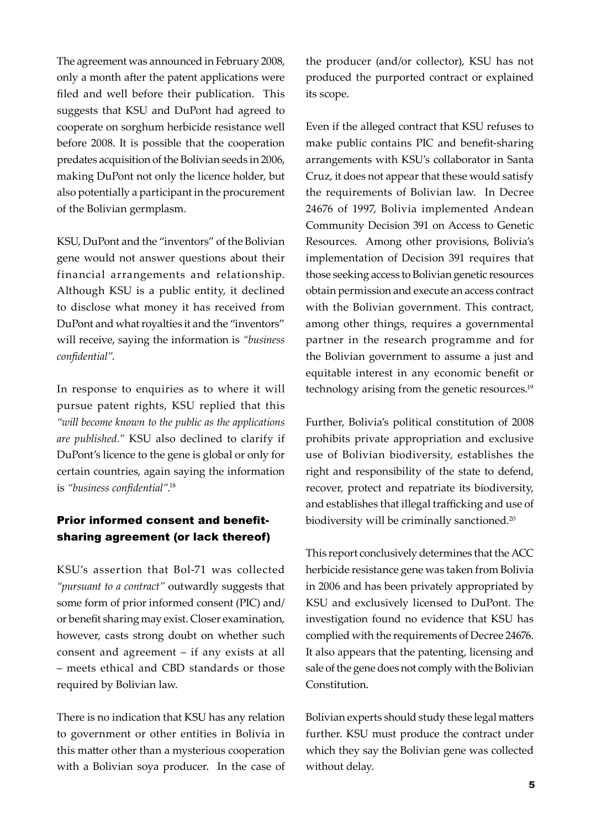The agreement was announced in February 2008, only a month after the patent applications were filed and well before their publication. This suggests that KSU and DuPont had agreed to cooperate on sorghum herbicide resistance well before 2008. It is possible that the cooperation predates acquisition of the Bolivian seeds in 2006, making DuPont not only the licence holder, but also potentially a participant in the procurement of the Bolivian germplasm.

KSU, DuPont and the "inventors" of the Bolivian gene would not answer questions about their financial arrangements and relationship. Although KSU is a public entity, it declined to disclose what money it has received from DuPont and what royalties it and the "inventors" will receive, saying the information is *"business confidential"*.

In response to enquiries as to where it will pursue patent rights, KSU replied that this *"will become known to the public as the applications are published."* KSU also declined to clarify if DuPont's licence to the gene is global or only for certain countries, again saying the information is *"business confidential"*. 18

### Prior informed consent and benefitsharing agreement (or lack thereof)

KSU's assertion that Bol-71 was collected *"pursuant to a contract"* outwardly suggests that some form of prior informed consent (PIC) and/ or benefit sharing may exist. Closer examination, however, casts strong doubt on whether such consent and agreement – if any exists at all – meets ethical and CBD standards or those required by Bolivian law.

There is no indication that KSU has any relation to government or other entities in Bolivia in this matter other than a mysterious cooperation with a Bolivian soya producer. In the case of

the producer (and/or collector), KSU has not produced the purported contract or explained its scope.

Even if the alleged contract that KSU refuses to make public contains PIC and benefit-sharing arrangements with KSU's collaborator in Santa Cruz, it does not appear that these would satisfy the requirements of Bolivian law. In Decree 24676 of 1997, Bolivia implemented Andean Community Decision 391 on Access to Genetic Resources. Among other provisions, Bolivia's implementation of Decision 391 requires that those seeking access to Bolivian genetic resources obtain permission and execute an access contract with the Bolivian government. This contract, among other things, requires a governmental partner in the research programme and for the Bolivian government to assume a just and equitable interest in any economic benefit or technology arising from the genetic resources.<sup>19</sup>

Further, Bolivia's political constitution of 2008 prohibits private appropriation and exclusive use of Bolivian biodiversity, establishes the right and responsibility of the state to defend, recover, protect and repatriate its biodiversity, and establishes that illegal trafficking and use of biodiversity will be criminally sanctioned.<sup>20</sup>

This report conclusively determines that the ACC herbicide resistance gene was taken from Bolivia in 2006 and has been privately appropriated by KSU and exclusively licensed to DuPont. The investigation found no evidence that KSU has complied with the requirements of Decree 24676. It also appears that the patenting, licensing and sale of the gene does not comply with the Bolivian Constitution.

Bolivian experts should study these legal matters further. KSU must produce the contract under which they say the Bolivian gene was collected without delay.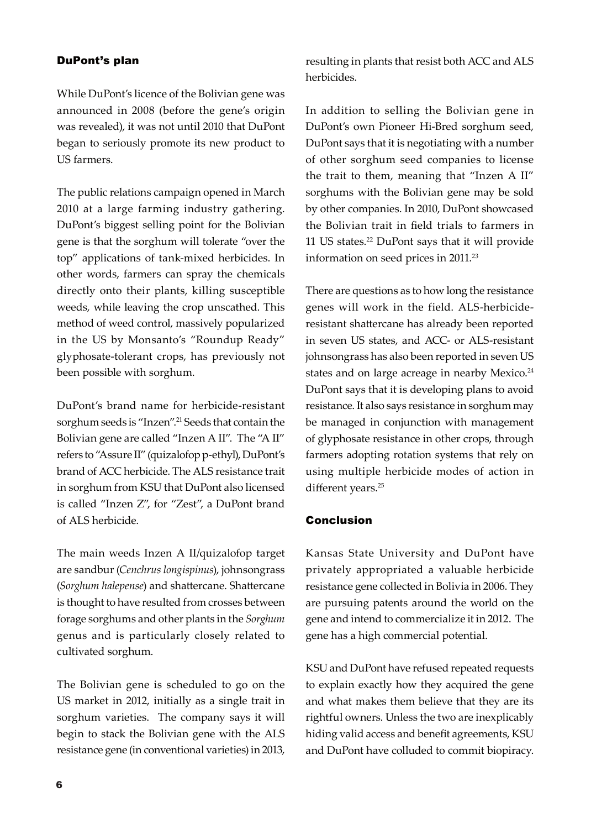#### DuPont's plan

While DuPont's licence of the Bolivian gene was announced in 2008 (before the gene's origin was revealed), it was not until 2010 that DuPont began to seriously promote its new product to US farmers.

The public relations campaign opened in March 2010 at a large farming industry gathering. DuPont's biggest selling point for the Bolivian gene is that the sorghum will tolerate "over the top" applications of tank-mixed herbicides. In other words, farmers can spray the chemicals directly onto their plants, killing susceptible weeds, while leaving the crop unscathed. This method of weed control, massively popularized in the US by Monsanto's "Roundup Ready" glyphosate-tolerant crops, has previously not been possible with sorghum.

DuPont's brand name for herbicide-resistant sorghum seeds is "Inzen".<sup>21</sup> Seeds that contain the Bolivian gene are called "Inzen A II". The "A II" refers to "Assure II" (quizalofop p-ethyl), DuPont's brand of ACC herbicide. The ALS resistance trait in sorghum from KSU that DuPont also licensed is called "Inzen Z", for "Zest", a DuPont brand of ALS herbicide.

The main weeds Inzen A II/quizalofop target are sandbur (*Cenchrus longispinus*), johnsongrass (*Sorghum halepense*) and shattercane. Shattercane is thought to have resulted from crosses between forage sorghums and other plants in the *Sorghum* genus and is particularly closely related to cultivated sorghum.

The Bolivian gene is scheduled to go on the US market in 2012, initially as a single trait in sorghum varieties. The company says it will begin to stack the Bolivian gene with the ALS resistance gene (in conventional varieties) in 2013, resulting in plants that resist both ACC and ALS herbicides.

In addition to selling the Bolivian gene in DuPont's own Pioneer Hi-Bred sorghum seed, DuPont says that it is negotiating with a number of other sorghum seed companies to license the trait to them, meaning that "Inzen A II" sorghums with the Bolivian gene may be sold by other companies. In 2010, DuPont showcased the Bolivian trait in field trials to farmers in 11 US states.22 DuPont says that it will provide information on seed prices in 2011.<sup>23</sup>

There are questions as to how long the resistance genes will work in the field. ALS-herbicideresistant shattercane has already been reported in seven US states, and ACC- or ALS-resistant johnsongrass has also been reported in seven US states and on large acreage in nearby Mexico.<sup>24</sup> DuPont says that it is developing plans to avoid resistance. It also says resistance in sorghum may be managed in conjunction with management of glyphosate resistance in other crops, through farmers adopting rotation systems that rely on using multiple herbicide modes of action in different years.<sup>25</sup>

#### Conclusion

Kansas State University and DuPont have privately appropriated a valuable herbicide resistance gene collected in Bolivia in 2006. They are pursuing patents around the world on the gene and intend to commercialize it in 2012. The gene has a high commercial potential.

KSU and DuPont have refused repeated requests to explain exactly how they acquired the gene and what makes them believe that they are its rightful owners. Unless the two are inexplicably hiding valid access and benefit agreements, KSU and DuPont have colluded to commit biopiracy.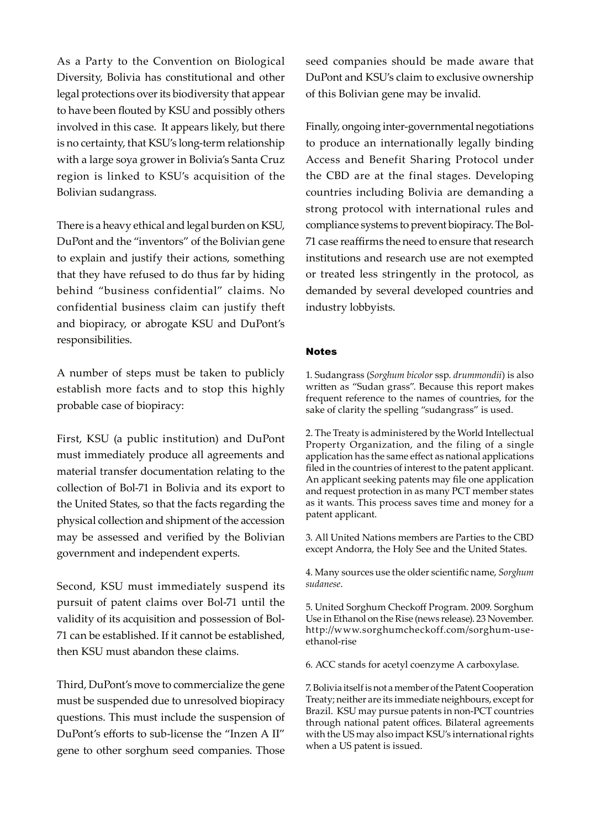As a Party to the Convention on Biological Diversity, Bolivia has constitutional and other legal protections over its biodiversity that appear to have been flouted by KSU and possibly others involved in this case. It appears likely, but there is no certainty, that KSU's long-term relationship with a large soya grower in Bolivia's Santa Cruz region is linked to KSU's acquisition of the Bolivian sudangrass.

There is a heavy ethical and legal burden on KSU, DuPont and the "inventors" of the Bolivian gene to explain and justify their actions, something that they have refused to do thus far by hiding behind "business confidential" claims. No confidential business claim can justify theft and biopiracy, or abrogate KSU and DuPont's responsibilities.

A number of steps must be taken to publicly establish more facts and to stop this highly probable case of biopiracy:

First, KSU (a public institution) and DuPont must immediately produce all agreements and material transfer documentation relating to the collection of Bol-71 in Bolivia and its export to the United States, so that the facts regarding the physical collection and shipment of the accession may be assessed and verified by the Bolivian government and independent experts.

Second, KSU must immediately suspend its pursuit of patent claims over Bol-71 until the validity of its acquisition and possession of Bol-71 can be established. If it cannot be established, then KSU must abandon these claims.

Third, DuPont's move to commercialize the gene must be suspended due to unresolved biopiracy questions. This must include the suspension of DuPont's efforts to sub-license the "Inzen A II" gene to other sorghum seed companies. Those seed companies should be made aware that DuPont and KSU's claim to exclusive ownership of this Bolivian gene may be invalid.

Finally, ongoing inter-governmental negotiations to produce an internationally legally binding Access and Benefit Sharing Protocol under the CBD are at the final stages. Developing countries including Bolivia are demanding a strong protocol with international rules and compliance systems to prevent biopiracy. The Bol-71 case reaffirms the need to ensure that research institutions and research use are not exempted or treated less stringently in the protocol, as demanded by several developed countries and industry lobbyists.

#### Notes

1. Sudangrass (*Sorghum bicolor* ssp. *drummondii*) is also written as "Sudan grass". Because this report makes frequent reference to the names of countries, for the sake of clarity the spelling "sudangrass" is used.

2. The Treaty is administered by the World Intellectual Property Organization, and the filing of a single application has the same effect as national applications filed in the countries of interest to the patent applicant. An applicant seeking patents may file one application and request protection in as many PCT member states as it wants. This process saves time and money for a patent applicant.

3. All United Nations members are Parties to the CBD except Andorra, the Holy See and the United States.

4. Many sources use the older scientific name, *Sorghum sudanese*.

5. United Sorghum Checkoff Program. 2009. Sorghum Use in Ethanol on the Rise (news release). 23 November. http://www.sorghumcheckoff.com/sorghum-useethanol-rise

6. ACC stands for acetyl coenzyme A carboxylase.

7. Bolivia itself is not a member of the Patent Cooperation Treaty; neither are its immediate neighbours, except for Brazil. KSU may pursue patents in non-PCT countries through national patent offices. Bilateral agreements with the US may also impact KSU's international rights when a US patent is issued.